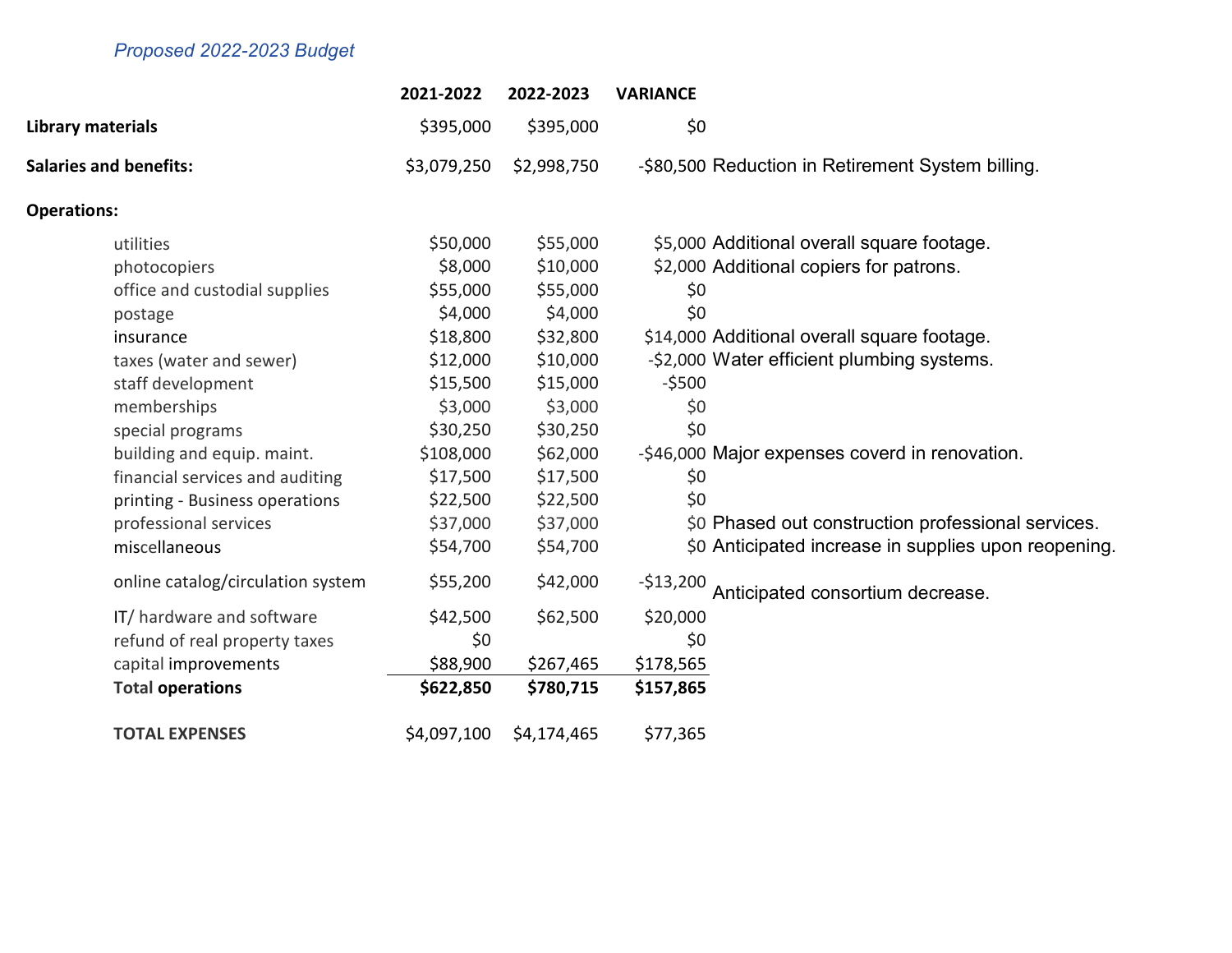## Proposed 2022-2023 Budget

|                                   | 2021-2022   | 2022-2023   | <b>VARIANCE</b>                                      |
|-----------------------------------|-------------|-------------|------------------------------------------------------|
| Library materials                 | \$395,000   | \$395,000   | \$0                                                  |
| <b>Salaries and benefits:</b>     | \$3,079,250 | \$2,998,750 | -\$80,500 Reduction in Retirement System billing.    |
| <b>Operations:</b>                |             |             |                                                      |
| utilities                         | \$50,000    | \$55,000    | \$5,000 Additional overall square footage.           |
| photocopiers                      | \$8,000     | \$10,000    | \$2,000 Additional copiers for patrons.              |
| office and custodial supplies     | \$55,000    | \$55,000    | \$0                                                  |
| postage                           | \$4,000     | \$4,000     | \$0                                                  |
| insurance                         | \$18,800    | \$32,800    | \$14,000 Additional overall square footage.          |
| taxes (water and sewer)           | \$12,000    | \$10,000    | -\$2,000 Water efficient plumbing systems.           |
| staff development                 | \$15,500    | \$15,000    | $-5500$                                              |
| memberships                       | \$3,000     | \$3,000     | \$0                                                  |
| special programs                  | \$30,250    | \$30,250    | \$0                                                  |
| building and equip. maint.        | \$108,000   | \$62,000    | -\$46,000 Major expenses coverd in renovation.       |
| financial services and auditing   | \$17,500    | \$17,500    | \$0                                                  |
| printing - Business operations    | \$22,500    | \$22,500    | \$0                                                  |
| professional services             | \$37,000    | \$37,000    | \$0 Phased out construction professional services.   |
| miscellaneous                     | \$54,700    | \$54,700    | \$0 Anticipated increase in supplies upon reopening. |
| online catalog/circulation system | \$55,200    | \$42,000    | $-$13,200$<br>Anticipated consortium decrease.       |
| IT/ hardware and software         | \$42,500    | \$62,500    | \$20,000                                             |
| refund of real property taxes     | \$0         |             | \$0                                                  |
| capital improvements              | \$88,900    | \$267,465   | \$178,565                                            |
| <b>Total operations</b>           | \$622,850   | \$780,715   | \$157,865                                            |
| <b>TOTAL EXPENSES</b>             | \$4,097,100 | \$4,174,465 | \$77,365                                             |